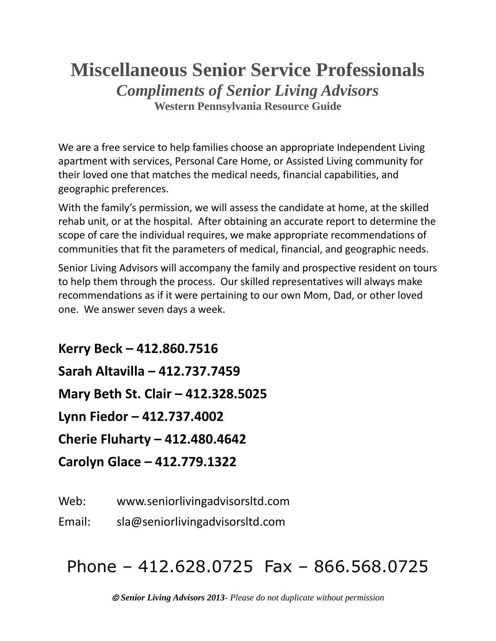# **Miscellaneous Senior Service Professionals** *Compliments of Senior Living Advisors* **Western Pennsylvania Resource Guide**

We are a free service to help families choose an appropriate Independent Living apartment with services, Personal Care Home, or Assisted Living community for their loved one that matches the medical needs, financial capabilities, and geographic preferences.

With the family's permission, we will assess the candidate at home, at the skilled rehab unit, or at the hospital. After obtaining an accurate report to determine the scope of care the individual requires, we make appropriate recommendations of communities that fit the parameters of medical, financial, and geographic needs.

Senior Living Advisors will accompany the family and prospective resident on tours to help them through the process. Our skilled representatives will always make recommendations as if it were pertaining to our own Mom, Dad, or other loved one. We answer seven days a week.

**Kerry Beck – 412.860.7516 Sarah Altavilla – 412.737.7459 Mary Beth St. Clair – 412.328.5025 Lynn Fiedor – 412.737.4002 Cherie Fluharty – 412.480.4642 Carolyn Glace – 412.779.1322**

Web: www.seniorlivingadvisorsltd.com

Email: sla@seniorlivingadvisorsltd.com

# Phone – 412.628.0725 Fax – 866.568.0725

© *Senior Living Advisors 2013- Please do not duplicate without permission*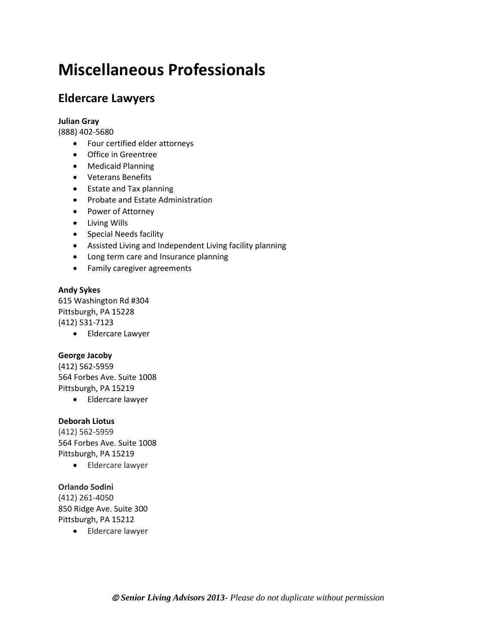# **Miscellaneous Professionals**

# **Eldercare Lawyers**

## **Julian Gray**

(888) 402-5680

- Four certified elder attorneys
- Office in Greentree
- Medicaid Planning
- Veterans Benefits
- Estate and Tax planning
- Probate and Estate Administration
- Power of Attorney
- Living Wills
- Special Needs facility
- Assisted Living and Independent Living facility planning
- Long term care and Insurance planning
- Family caregiver agreements

## **Andy Sykes**

615 Washington Rd #304 Pittsburgh, PA 15228 (412) 531-7123

• Eldercare Lawyer

## **George Jacoby**

(412) 562-5959 564 Forbes Ave. Suite 1008 Pittsburgh, PA 15219

• Eldercare lawyer

## **Deborah Liotus**

(412) 562-5959 564 Forbes Ave. Suite 1008 Pittsburgh, PA 15219

• Eldercare lawyer

## **Orlando Sodini**

(412) 261-4050 850 Ridge Ave. Suite 300 Pittsburgh, PA 15212

• Eldercare lawyer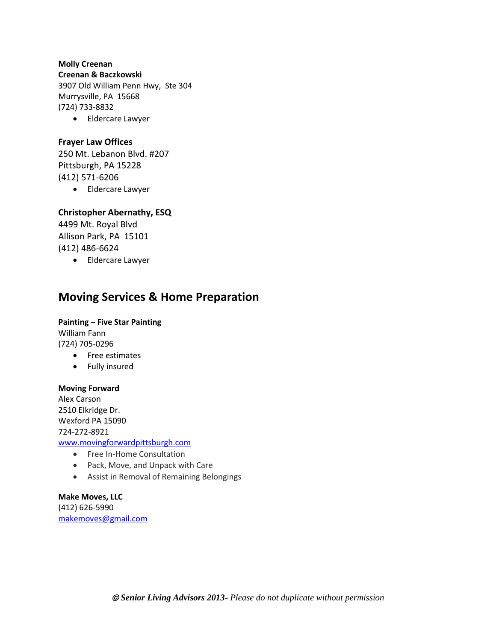## **Molly Creenan**

**Creenan & Baczkowski**

3907 Old William Penn Hwy, Ste 304 Murrysville, PA 15668 (724) 733-8832

• Eldercare Lawyer

## **Frayer Law Offices**

250 Mt. Lebanon Blvd. #207 Pittsburgh, PA 15228 (412) 571-6206

• Eldercare Lawyer

# **Christopher Abernathy, ESQ**

4499 Mt. Royal Blvd Allison Park, PA 15101 (412) 486-6624

• Eldercare Lawyer

# **Moving Services & Home Preparation**

# **Painting – Five Star Painting** William Fann (724) 705-0296

- Free estimates
- Fully insured

## **Moving Forward**

Alex Carson 2510 Elkridge Dr. Wexford PA 15090 724-272-8921 [www.movingforwardpittsburgh.com](http://www.movingforwardpittsburgh.com/)

- Free In-Home Consultation
- Pack, Move, and Unpack with Care
- Assist in Removal of Remaining Belongings

## **Make Moves, LLC** (412) 626-5990 [makemoves@gmail.com](mailto:makemoves@gmail.com)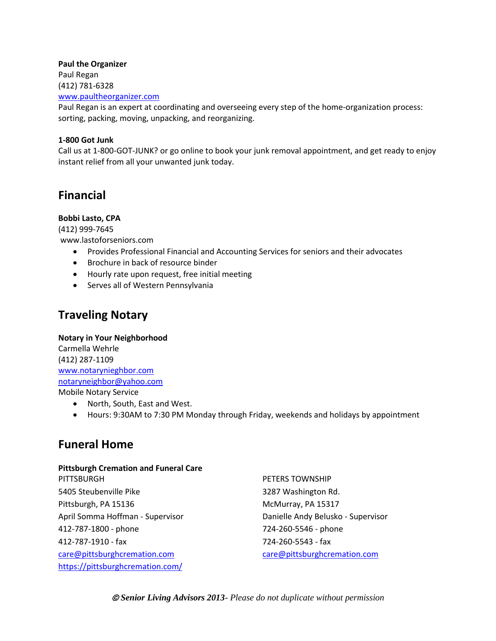## **Paul the Organizer**

Paul Regan (412) 781-6328

[www.paultheorganizer.com](http://www.paultheorganizer.com/)

Paul Regan is an expert at coordinating and overseeing every step of the home-organization process: sorting, packing, moving, unpacking, and reorganizing.

## **1-800 Got Junk**

Call us at 1-800-GOT-JUNK? or go online to book your junk removal appointment, and get ready to enjoy instant relief from all your unwanted junk today.

# **Financial**

# **Bobbi Lasto, CPA**

(412) 999-7645 www.lastoforseniors.com

- Provides Professional Financial and Accounting Services for seniors and their advocates
- Brochure in back of resource binder
- Hourly rate upon request, free initial meeting
- Serves all of Western Pennsylvania

# **Traveling Notary**

**Notary in Your Neighborhood** Carmella Wehrle (412) 287-1109 [www.notarynieghbor.com](http://www.notarynieghbor.com/) [notaryneighbor@yahoo.com](mailto:notaryneighbor@yahoo.com) Mobile Notary Service

- North, South, East and West.
- Hours: 9:30AM to 7:30 PM Monday through Friday, weekends and holidays by appointment

# **Funeral Home**

#### **Pittsburgh Cremation and Funeral Care** PITTSBURGH

5405 Steubenville Pike Pittsburgh, PA 15136 April Somma Hoffman - Supervisor 412-787-1800 - phone 412-787-1910 - fax [care@pittsburghcremation.com](mailto:care@pittsburghcremation.com) <https://pittsburghcremation.com/>

PETERS TOWNSHIP 3287 Washington Rd. McMurray, PA 15317 Danielle Andy Belusko - Supervisor 724-260-5546 - phone 724-260-5543 - fax [care@pittsburghcremation.com](mailto:care@pittsburghcremation.com)

© *Senior Living Advisors 2013- Please do not duplicate without permission*